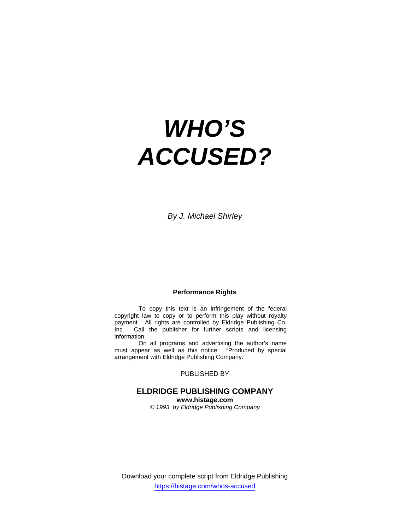# *WHO'S ACCUSED?*

*By J. Michael Shirley* 

# **Performance Rights**

 To copy this text is an infringement of the federal copyright law to copy or to perform this play without royalty payment. All rights are controlled by Eldridge Publishing Co. Inc. Call the publisher for further scripts and licensing information.

 On all programs and advertising the author's name must appear as well as this notice: "Produced by special arrangement with Eldridge Publishing Company."

# PUBLISHED BY

# **ELDRIDGE PUBLISHING COMPANY www.histage.com**

*© 1993 by Eldridge Publishing Company*

Download your complete script from Eldridge Publishing https://histage.com/whos-accused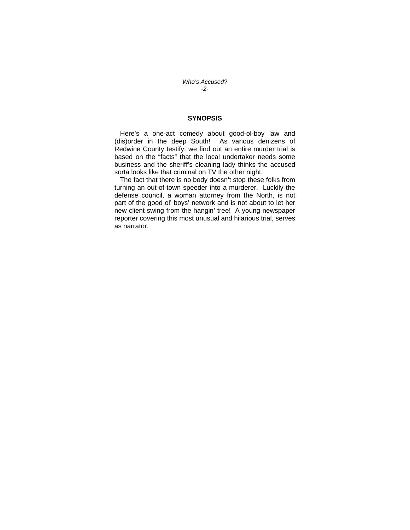*Who's Accused? -2-* 

## **SYNOPSIS**

 Here's a one-act comedy about good-ol-boy law and (dis)order in the deep South! As various denizens of Redwine County testify, we find out an entire murder trial is based on the "facts" that the local undertaker needs some business and the sheriff's cleaning lady thinks the accused sorta looks like that criminal on TV the other night.

 The fact that there is no body doesn't stop these folks from turning an out-of-town speeder into a murderer. Luckily the defense council, a woman attorney from the North, is not part of the good ol' boys' network and is not about to let her new client swing from the hangin' tree! A young newspaper reporter covering this most unusual and hilarious trial, serves as narrator.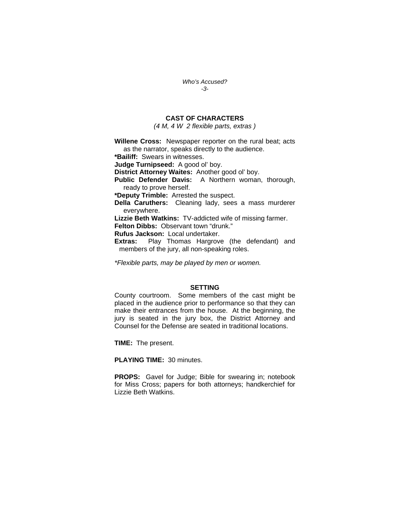*Who's Accused? -3-* 

# **CAST OF CHARACTERS**

*(4 M, 4 W 2 flexible parts, extras )* 

**Willene Cross:** Newspaper reporter on the rural beat; acts as the narrator, speaks directly to the audience. **\*Bailiff:** Swears in witnesses.

**Judge Turnipseed:** A good ol' boy.

**District Attorney Waites:** Another good ol' boy.

**Public Defender Davis:** A Northern woman, thorough, ready to prove herself.

**\*Deputy Trimble:** Arrested the suspect.

**Della Caruthers:** Cleaning lady, sees a mass murderer everywhere.

**Lizzie Beth Watkins:** TV-addicted wife of missing farmer.

**Felton Dibbs:** Observant town "drunk."

**Rufus Jackson:** Local undertaker.

**Extras:** Play Thomas Hargrove (the defendant) and members of the jury, all non-speaking roles.

*\*Flexible parts, may be played by men or women.* 

#### **SETTING**

County courtroom. Some members of the cast might be placed in the audience prior to performance so that they can make their entrances from the house. At the beginning, the jury is seated in the jury box, the District Attorney and Counsel for the Defense are seated in traditional locations.

**TIME:** The present.

**PLAYING TIME:** 30 minutes.

**PROPS:** Gavel for Judge; Bible for swearing in; notebook for Miss Cross; papers for both attorneys; handkerchief for Lizzie Beth Watkins.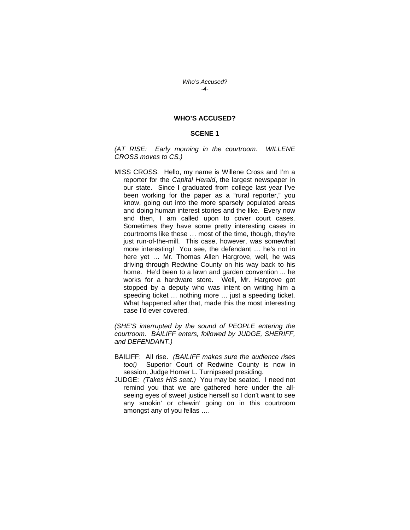#### *Who's Accused? -4-*

#### **WHO'S ACCUSED?**

#### **SCENE 1**

*(AT RISE: Early morning in the courtroom. WILLENE CROSS moves to CS.)* 

MISS CROSS: Hello, my name is Willene Cross and I'm a reporter for the *Capital Herald*, the largest newspaper in our state. Since I graduated from college last year I've been working for the paper as a "rural reporter," you know, going out into the more sparsely populated areas and doing human interest stories and the like. Every now and then, I am called upon to cover court cases. Sometimes they have some pretty interesting cases in courtrooms like these … most of the time, though, they're just run-of-the-mill. This case, however, was somewhat more interesting! You see, the defendant … he's not in here yet … Mr. Thomas Allen Hargrove, well, he was driving through Redwine County on his way back to his home. He'd been to a lawn and garden convention ... he works for a hardware store. Well, Mr. Hargrove got stopped by a deputy who was intent on writing him a speeding ticket … nothing more … just a speeding ticket. What happened after that, made this the most interesting case I'd ever covered.

*(SHE'S interrupted by the sound of PEOPLE entering the courtroom. BAILIFF enters, followed by JUDGE, SHERIFF, and DEFENDANT.)* 

- BAILIFF: All rise. *(BAILIFF makes sure the audience rises too!)* Superior Court of Redwine County is now in session, Judge Homer L. Turnipseed presiding.
- JUDGE: *(Takes HIS seat.)* You may be seated. I need not remind you that we are gathered here under the allseeing eyes of sweet justice herself so I don't want to see any smokin' or chewin' going on in this courtroom amongst any of you fellas ….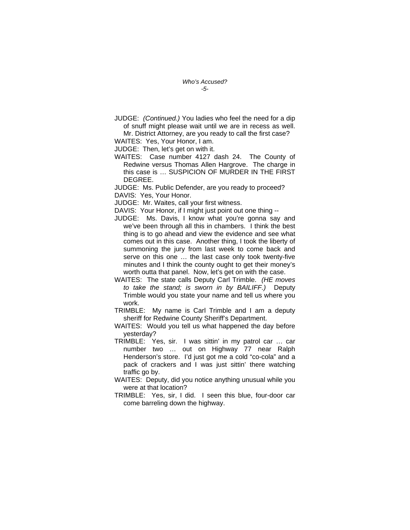JUDGE: *(Continued.)* You ladies who feel the need for a dip of snuff might please wait until we are in recess as well.

Mr. District Attorney, are you ready to call the first case? WAITES: Yes, Your Honor, I am.

JUDGE: Then, let's get on with it.

WAITES: Case number 4127 dash 24. The County of Redwine versus Thomas Allen Hargrove. The charge in this case is … SUSPICION OF MURDER IN THE FIRST DEGREE.

JUDGE: Ms. Public Defender, are you ready to proceed? DAVIS: Yes, Your Honor.

JUDGE: Mr. Waites, call your first witness.

DAVIS: Your Honor, if I might just point out one thing --

- JUDGE: Ms. Davis, I know what you're gonna say and we've been through all this in chambers. I think the best thing is to go ahead and view the evidence and see what comes out in this case. Another thing, I took the liberty of summoning the jury from last week to come back and serve on this one … the last case only took twenty-five minutes and I think the county ought to get their money's worth outta that panel. Now, let's get on with the case.
- WAITES: The state calls Deputy Carl Trimble. *(HE moves to take the stand; is sworn in by BAILIFF.)* Deputy Trimble would you state your name and tell us where you work.
- TRIMBLE: My name is Carl Trimble and I am a deputy sheriff for Redwine County Sheriff's Department.
- WAITES: Would you tell us what happened the day before yesterday?
- TRIMBLE: Yes, sir. I was sittin' in my patrol car … car number two … out on Highway 77 near Ralph Henderson's store. I'd just got me a cold "co-cola" and a pack of crackers and I was just sittin' there watching traffic go by.
- WAITES: Deputy, did you notice anything unusual while you were at that location?
- TRIMBLE: Yes, sir, I did. I seen this blue, four-door car come barreling down the highway.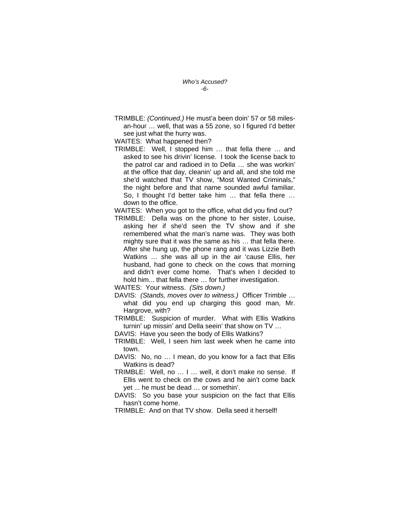TRIMBLE: *(Continued.)* He must'a been doin' 57 or 58 milesan-hour … well, that was a 55 zone, so I figured I'd better see just what the hurry was.

WAITES: What happened then?

TRIMBLE: Well, I stopped him … that fella there … and asked to see his drivin' license. I took the license back to the patrol car and radioed in to Della … she was workin' at the office that day, cleanin' up and all, and she told me she'd watched that TV show, "Most Wanted Criminals," the night before and that name sounded awful familiar. So, I thought I'd better take him … that fella there … down to the office.

WAITES: When you got to the office, what did you find out?

TRIMBLE: Della was on the phone to her sister, Louise, asking her if she'd seen the TV show and if she remembered what the man's name was. They was both mighty sure that it was the same as his … that fella there. After she hung up, the phone rang and it was Lizzie Beth Watkins … she was all up in the air 'cause Ellis, her husband, had gone to check on the cows that morning and didn't ever come home. That's when I decided to hold him... that fella there … for further investigation.

WAITES: Your witness. *(Sits down.)* 

- DAVIS: *(Stands, moves over to witness.)* Officer Trimble … what did you end up charging this good man, Mr. Hargrove, with?
- TRIMBLE: Suspicion of murder. What with Ellis Watkins turnin' up missin' and Della seein' that show on TV …

DAVIS: Have you seen the body of Ellis Watkins?

- TRIMBLE: Well, I seen him last week when he came into town.
- DAVIS: No, no … I mean, do you know for a fact that Ellis Watkins is dead?
- TRIMBLE: Well, no … I … well, it don't make no sense. If Ellis went to check on the cows and he ain't come back yet ... he must be dead … or somethin'.
- DAVIS: So you base your suspicion on the fact that Ellis hasn't come home.
- TRIMBLE: And on that TV show. Della seed it herself!